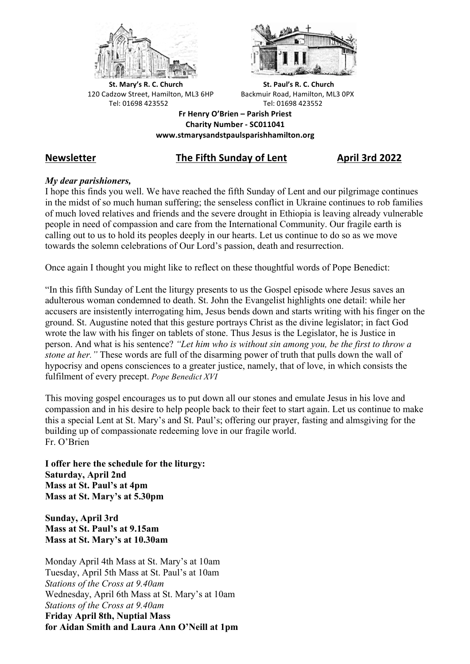



**St.** Mary's R. C. Church St. Paul's R. C. Church 120 Cadzow Street, Hamilton, ML3 6HP Backmuir Road, Hamilton, ML3 0PX Tel: 01698 423552 Tel: 01698 423552

**Fr Henry O'Brien – Parish Priest Charity Number - SC011041 www.stmarysandstpaulsparishhamilton.org**

# **Newsletter The Fifth Sunday of Lent April 3rd 2022**

### *My dear parishioners,*

I hope this finds you well. We have reached the fifth Sunday of Lent and our pilgrimage continues in the midst of so much human suffering; the senseless conflict in Ukraine continues to rob families of much loved relatives and friends and the severe drought in Ethiopia is leaving already vulnerable people in need of compassion and care from the International Community. Our fragile earth is calling out to us to hold its peoples deeply in our hearts. Let us continue to do so as we move towards the solemn celebrations of Our Lord's passion, death and resurrection.

Once again I thought you might like to reflect on these thoughtful words of Pope Benedict:

"In this fifth Sunday of Lent the liturgy presents to us the Gospel episode where Jesus saves an adulterous woman condemned to death. St. John the Evangelist highlights one detail: while her accusers are insistently interrogating him, Jesus bends down and starts writing with his finger on the ground. St. Augustine noted that this gesture portrays Christ as the divine legislator; in fact God wrote the law with his finger on tablets of stone. Thus Jesus is the Legislator, he is Justice in person. And what is his sentence? *"Let him who is without sin among you, be the first to throw a stone at her."* These words are full of the disarming power of truth that pulls down the wall of hypocrisy and opens consciences to a greater justice, namely, that of love, in which consists the fulfilment of every precept. *Pope Benedict XVI*

This moving gospel encourages us to put down all our stones and emulate Jesus in his love and compassion and in his desire to help people back to their feet to start again. Let us continue to make this a special Lent at St. Mary's and St. Paul's; offering our prayer, fasting and almsgiving for the building up of compassionate redeeming love in our fragile world. Fr. O'Brien

**I offer here the schedule for the liturgy: Saturday, April 2nd Mass at St. Paul's at 4pm Mass at St. Mary's at 5.30pm**

**Sunday, April 3rd Mass at St. Paul's at 9.15am Mass at St. Mary's at 10.30am**

Monday April 4th Mass at St. Mary's at 10am Tuesday, April 5th Mass at St. Paul's at 10am *Stations of the Cross at 9.40am* Wednesday, April 6th Mass at St. Mary's at 10am *Stations of the Cross at 9.40am* **Friday April 8th, Nuptial Mass for Aidan Smith and Laura Ann O'Neill at 1pm**